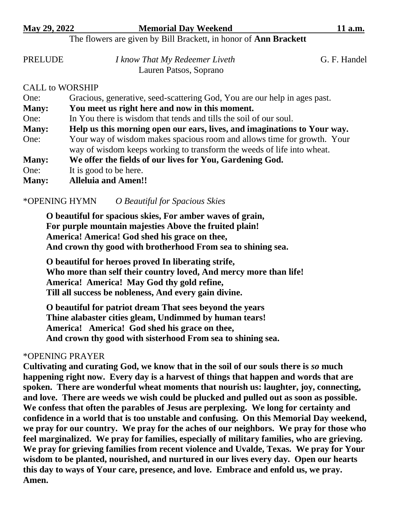## **May 29, 2022 Memorial Day Weekend 11 a.m.**

The flowers are given by Bill Brackett, in honor of **Ann Brackett**

PRELUDE *I know That My Redeemer Liveth* G. F. Handel Lauren Patsos, Soprano

## CALL to WORSHIP

One: Gracious, generative, seed-scattering God, You are our help in ages past.

**Many: You meet us right here and now in this moment.**

One: In You there is wisdom that tends and tills the soil of our soul.

**Many: Help us this morning open our ears, lives, and imaginations to Your way.**

One: Your way of wisdom makes spacious room and allows time for growth. Your way of wisdom keeps working to transform the weeds of life into wheat.

- **Many: We offer the fields of our lives for You, Gardening God.**
- One: It is good to be here.
- **Many: Alleluia and Amen!!**

## \*OPENING HYMN *O Beautiful for Spacious Skies*

**O beautiful for spacious skies, For amber waves of grain, For purple mountain majesties Above the fruited plain! America! America! God shed his grace on thee, And crown thy good with brotherhood From sea to shining sea.**

**O beautiful for heroes proved In liberating strife, Who more than self their country loved, And mercy more than life! America! America! May God thy gold refine, Till all success be nobleness, And every gain divine.**

**O beautiful for patriot dream That sees beyond the years Thine alabaster cities gleam, Undimmed by human tears! America! America! God shed his grace on thee, And crown thy good with sisterhood From sea to shining sea.**

# \*OPENING PRAYER

**Cultivating and curating God, we know that in the soil of our souls there is** *so* **much happening right now. Every day is a harvest of things that happen and words that are spoken. There are wonderful wheat moments that nourish us: laughter, joy, connecting, and love. There are weeds we wish could be plucked and pulled out as soon as possible. We confess that often the parables of Jesus are perplexing. We long for certainty and confidence in a world that is too unstable and confusing. On this Memorial Day weekend, we pray for our country. We pray for the aches of our neighbors. We pray for those who feel marginalized. We pray for families, especially of military families, who are grieving. We pray for grieving families from recent violence and Uvalde, Texas. We pray for Your wisdom to be planted, nourished, and nurtured in our lives every day. Open our hearts this day to ways of Your care, presence, and love. Embrace and enfold us, we pray. Amen.**